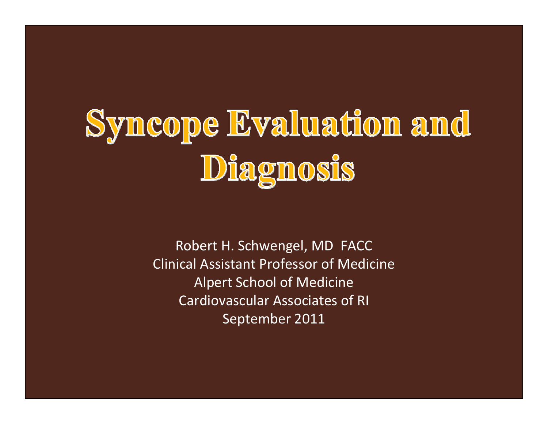# Syncope Evaluation and Diagnosis

Robert H. Schwengel, MD FACC Clinical Assistant Professor of Medicine Alpert School of Medicine Cardiovascular Associates of RI September 2011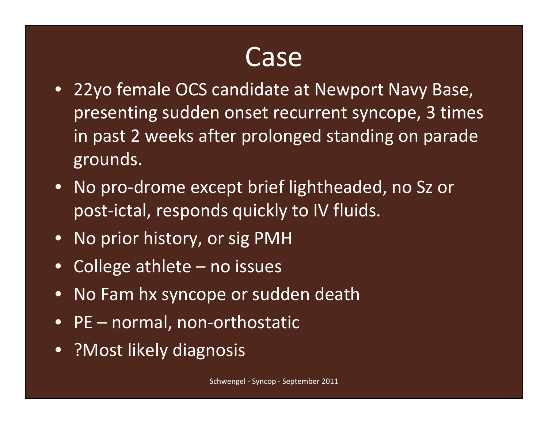#### Case

- 22yo female OCS candidate at Newport Navy Base, presenting sudden onset recurrent syncope, 3 times in past 2 weeks after prolonged standing on parade grounds.
- No pro-drome except brief lightheaded, no Sz or post-ictal, responds quickly to IV fluids.
- $\bullet$ No prior history, or sig PMH
- $\bullet$ College athlete – no issues
- •No Fam hx syncope or sudden death
- PE normal, non-orthostatic
- ?Most likely diagnosis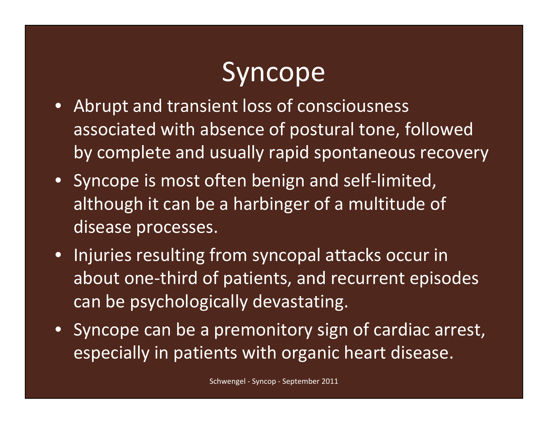# Syncope

- Abrupt and transient loss of consciousness associated with absence of postural tone, followed by complete and usually rapid spontaneous recovery
- Syncope is most often benign and self-limited, although it can be a harbinger of a multitude of disease processes.
- Injuries resulting from syncopal attacks occur in about one-third of patients, and recurrent episodes can be psychologically devastating.
- Syncope can be a premonitory sign of cardiac arrest, especially in patients with organic heart disease.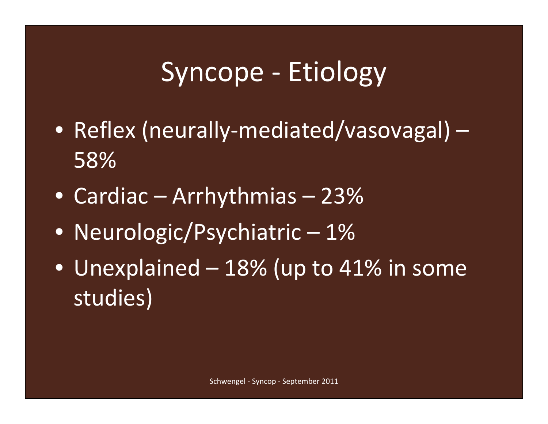## Syncope - Etiology

- Reflex (neurally-mediated/vasovagal) 58%
- Cardiac Arrhythmias 23%
- Neurologic/Psychiatric 1%
- Unexplained 18% (up to 41% in some studies)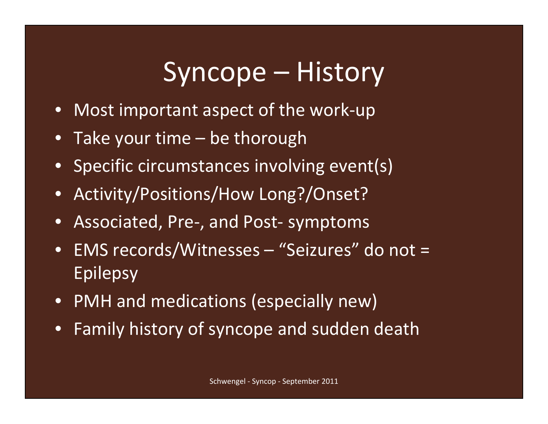## Syncope – History

- Most important aspect of the work-up
- •Take your time – be thorough
- $\bullet$ Specific circumstances involving event(s)
- •Activity/Positions/How Long?/Onset?
- $\bullet$ Associated, Pre-, and Post- symptoms
- $\bullet$  EMS records/Witnesses – "Seizures" do not = Epilepsy
- PMH and medications (especially new)
- •Family history of syncope and sudden death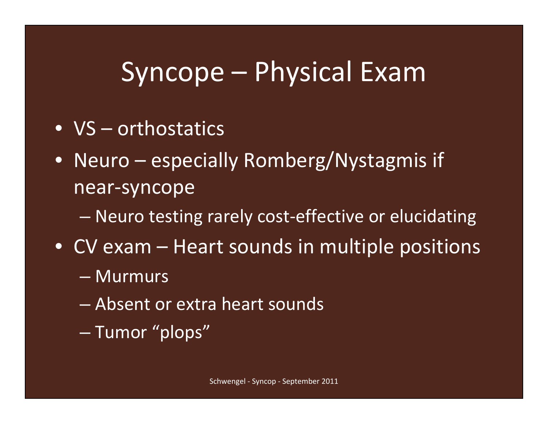#### Syncope – Physical Exam

- VS orthostatics
- Neuro especially Romberg/Nystagmis if near-syncope
	- $\mathcal{L}_{\mathcal{A}}$ Neuro testing rarely cost-effective or elucidating
- CV exam Heart sounds in multiple positions
	- Murmurs
	- Absent or extra heart sounds
	- Tumor "plops"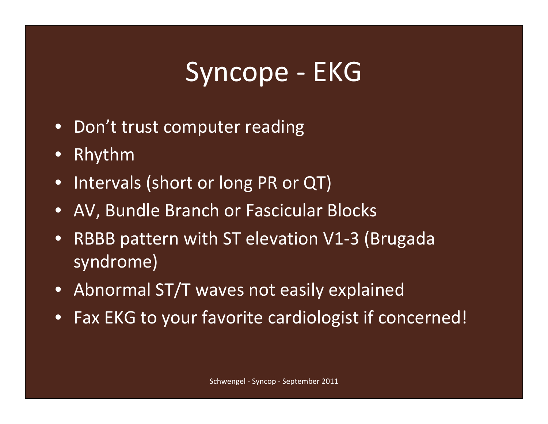## Syncope - EKG

- $\bullet$ Don't trust computer reading
- •Rhythm
- $\bullet$ Intervals (short or long PR or QT)
- •AV, Bundle Branch or Fascicular Blocks
- • RBBB pattern with ST elevation V1-3 (Brugada syndrome)
- Abnormal ST/T waves not easily explained
- $\bullet$ Fax EKG to your favorite cardiologist if concerned!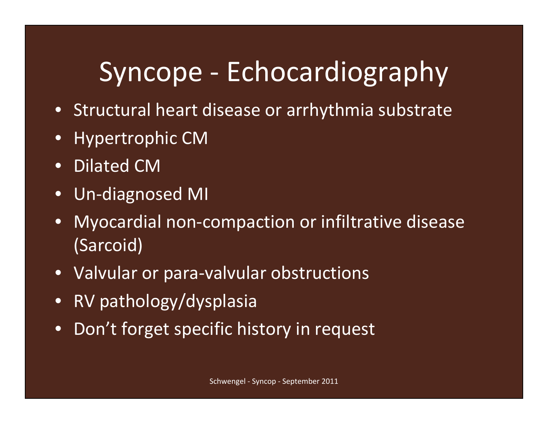# Syncope - Echocardiography

- Structural heart disease or arrhythmia substrate
- •Hypertrophic CM
- •Dilated CM
- •Un-diagnosed MI
- $\bullet$  Myocardial non-compaction or infiltrative disease (Sarcoid)
- $\bullet$ Valvular or para-valvular obstructions
- •RV pathology/dysplasia
- •Don't forget specific history in request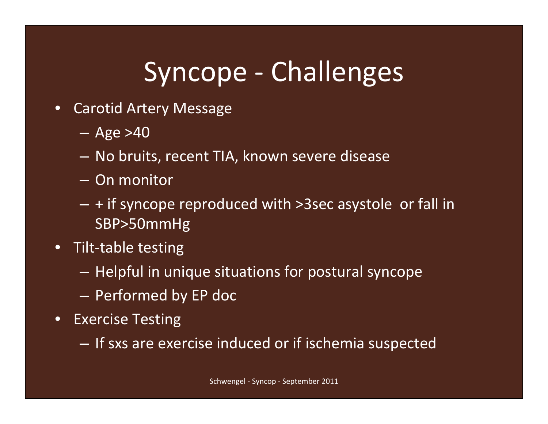# Syncope - Challenges

- $\bullet$  Carotid Artery Message
	- Age >40
	- No bruits, recent TIA, known severe disease
	- On monitor
	- $-$  + if syncope reproduced with >3sec asystole  $\,$  or fall in  $\,$ SBP>50mmHg
- Tilt-table testing
	- $-$  Helpful in unique situations for postural syncope
	- $-$  Performed by EP doc
- $\bullet$  Exercise Testing
	- $-$  If sxs are exercise induced or if ischemia suspected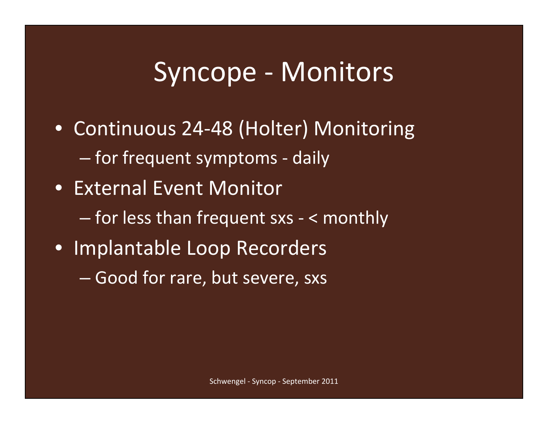#### Syncope - Monitors

- Continuous 24-48 (Holter) Monitoring — for frequent symptoms - daily
- External Event Monitor
	- for less than frequent sxs < monthly
- Implantable Loop Recorders
	- Good for rare, but severe, sxs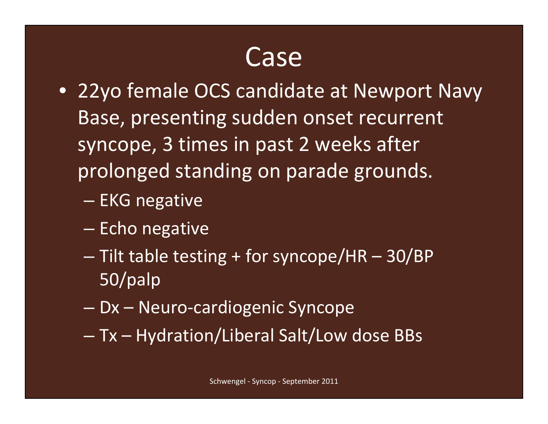#### Case

- 22yo female OCS candidate at Newport Navy Base, presenting sudden onset recurrent syncope, 3 times in past 2 weeks after prolonged standing on parade grounds.
	- EKG negative
	- Echo negative
	- Tilt table testing + for syncope/HR 30/BP 50/palp
	- Dx Neuro-cardiogenic Syncope
	- Tx Hydration/Liberal Salt/Low dose BBs